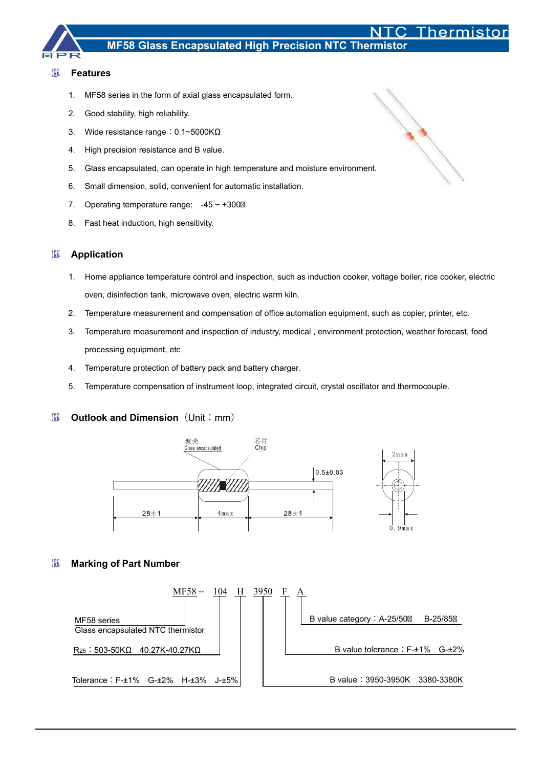

#### 涵 **Features**

- 1. MF58 series in the form of axial glass encapsulated form.
- 2. Good stability, high reliability.
- 3. Wide resistance range: 0.1~5000KΩ
- 4. High precision resistance and B value.
- 5. Glass encapsulated, can operate in high temperature and moisture environment.
- 6. Small dimension, solid, convenient for automatic installation.
- 7. Operating temperature range:  $-45 \sim +300$
- 8. Fast heat induction, high sensitivity.

#### 椰 **Application**

- 1. Home appliance temperature control and inspection, such as induction cooker, voltage boiler, rice cooker, electric oven, disinfection tank, microwave oven, electric warm kiln.
- 2. Temperature measurement and compensation of office automation equipment, such as copier, printer, etc.
- 3. Temperature measurement and inspection of industry, medical , environment protection, weather forecast, food processing equipment, etc
- 4. Temperature protection of battery pack and battery charger.
- 5. Temperature compensation of instrument loop, integrated circuit, crystal oscillator and thermocouple.

#### 撇 **Outlook and Dimension** (Unit: mm)



#### **Marking of Part Number**  慟



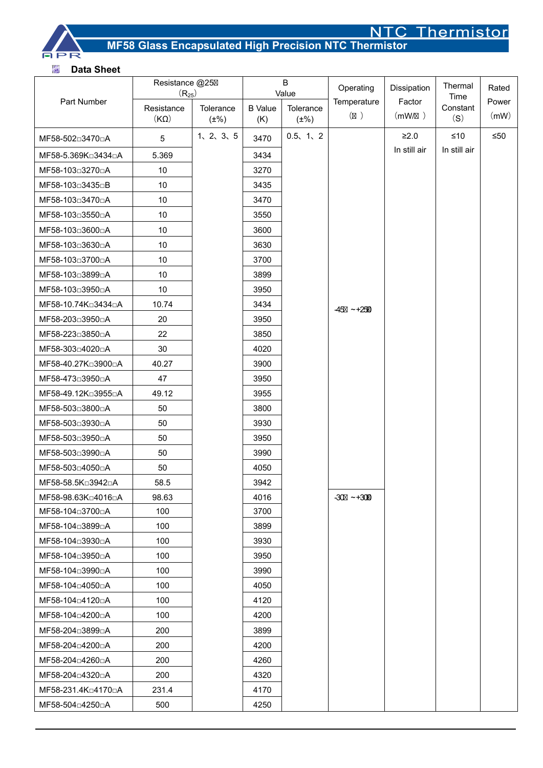

# **MF58 Glass Encapsulated High Precision NTC Thermistor**

### 懒 **Data Sheet**

|                    | Resistance @25<br>$(R_{25})$ |                        | B<br>Value            |                        | Operating            | Dissipation      | Thermal<br>Time | Rated         |
|--------------------|------------------------------|------------------------|-----------------------|------------------------|----------------------|------------------|-----------------|---------------|
| Part Number        | Resistance<br>(KQ)           | Tolerance<br>$(\pm\%)$ | <b>B</b> Value<br>(K) | Tolerance<br>$(\pm\%)$ | Temperature<br>$($ ) | Factor<br>(mW/ ) | Constant<br>(S) | Power<br>(mW) |
| MF58-502□3470□A    | 5                            | 1, 2, 3, 5             | 3470                  | 0.5, 1, 2              |                      | $\geq 2.0$       | $≤10$           | $\leq 50$     |
| MF58-5.369K□3434□A | 5.369                        |                        | 3434                  |                        |                      | In still air     | In still air    |               |
| MF58-103□3270□A    | 10                           |                        | 3270                  |                        |                      |                  |                 |               |
| MF58-103□3435□B    | 10                           |                        | 3435                  |                        |                      |                  |                 |               |
| MF58-103□3470□A    | 10                           |                        | 3470                  |                        |                      |                  |                 |               |
| MF58-103□3550□A    | $10$                         |                        | 3550                  |                        |                      |                  |                 |               |
| MF58-103□3600□A    | 10                           |                        | 3600                  |                        |                      |                  |                 |               |
| MF58-103□3630□A    | 10                           |                        | 3630                  |                        |                      |                  |                 |               |
| MF58-103□3700□A    | 10                           |                        | 3700                  |                        |                      |                  |                 |               |
| MF58-103□3899□A    | 10                           |                        | 3899                  |                        |                      |                  |                 |               |
| MF58-103□3950□A    | 10                           |                        | 3950                  |                        |                      |                  |                 |               |
| MF58-10.74K□3434□A | 10.74                        |                        | 3434                  |                        | $-45$ ~ +250         |                  |                 |               |
| MF58-203□3950□A    | 20                           |                        | 3950                  |                        |                      |                  |                 |               |
| MF58-223□3850□A    | 22                           |                        | 3850                  |                        |                      |                  |                 |               |
| MF58-303□4020□A    | 30                           |                        | 4020                  |                        |                      |                  |                 |               |
| MF58-40.27K□3900□A | 40.27                        |                        | 3900                  |                        |                      |                  |                 |               |
| MF58-473□3950□A    | 47                           |                        | 3950                  |                        |                      |                  |                 |               |
| MF58-49.12K□3955□A | 49.12                        |                        | 3955                  |                        |                      |                  |                 |               |
| MF58-503□3800□A    | 50                           |                        | 3800                  |                        |                      |                  |                 |               |
| MF58-503□3930□A    | 50                           |                        | 3930                  |                        |                      |                  |                 |               |
| MF58-503□3950□A    | 50                           |                        | 3950                  |                        |                      |                  |                 |               |
| MF58-503□3990□A    | 50                           |                        | 3990                  |                        |                      |                  |                 |               |
| MF58-503□4050□A    | 50                           |                        | 4050                  |                        |                      |                  |                 |               |
| MF58-58.5K□3942□A  | 58.5                         |                        | 3942                  |                        |                      |                  |                 |               |
| MF58-98.63K□4016□A | 98.63                        |                        | 4016                  |                        | $-30$ ~ $+300$       |                  |                 |               |
| MF58-104□3700□A    | 100                          |                        | 3700                  |                        |                      |                  |                 |               |
| MF58-104□3899□A    | 100                          |                        | 3899                  |                        |                      |                  |                 |               |
| MF58-104□3930□A    | 100                          |                        | 3930                  |                        |                      |                  |                 |               |
| MF58-104□3950□A    | 100                          |                        | 3950                  |                        |                      |                  |                 |               |
| MF58-104□3990□A    | 100                          |                        | 3990                  |                        |                      |                  |                 |               |
| MF58-104□4050□A    | 100                          |                        | 4050                  |                        |                      |                  |                 |               |
| MF58-104□4120□A    | 100                          |                        | 4120                  |                        |                      |                  |                 |               |
| MF58-104□4200□A    | 100                          |                        | 4200                  |                        |                      |                  |                 |               |
| MF58-204□3899□A    | 200                          |                        | 3899                  |                        |                      |                  |                 |               |
| MF58-204□4200□A    | 200                          |                        | 4200                  |                        |                      |                  |                 |               |
| MF58-204□4260□A    | 200                          |                        | 4260                  |                        |                      |                  |                 |               |
| MF58-204□4320□A    | 200                          |                        | 4320                  |                        |                      |                  |                 |               |
| MF58-231.4K□4170□A | 231.4                        |                        | 4170                  |                        |                      |                  |                 |               |
| MF58-504□4250□A    | 500                          |                        | 4250                  |                        |                      |                  |                 |               |